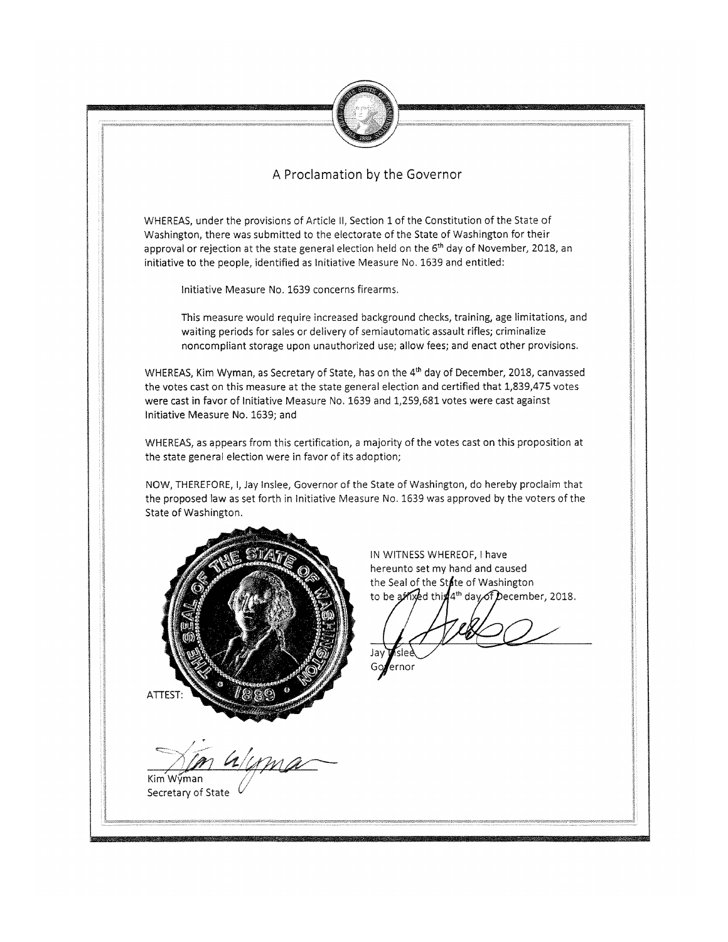

## A Proclamation by the Governor

WHEREAS, under the provisions of Article II, Section 1 of the Constitution of the State of Washington, there was submitted to the electorate of the State of Washington for their approval or rejection at the state general election held on the 6th day of November, 2018, an initiative to the people, identified as Initiative Measure No. 1639 and entitled:

Initiative Measure No. 1639 concerns firearms.

This measure would require increased background checks, training, age limitations, and waiting periods for sales or delivery of semiautomatic assault rifles; criminalize noncompliant storage upon unauthorized use; allow fees; and enact other provisions.

WHEREAS, Kim Wyman, as Secretary of State, has on the 4<sup>th</sup> day of December, 2018, canvassed the votes cast on this measure at the state general election and certified that 1,839,475 votes were cast in favor of Initiative Measure No. 1639 and 1,259,681 votes were cast against Initiative Measure No. 1639; and

WHEREAS, as appears from this certification, a majority of the votes cast on this proposition at the state general election were in favor of its adoption;

NOW, THEREFORE, I, Jay Inslee, Governor of the State of Washington, do hereby proclaim that the proposed law as set forth in Initiative Measure No. 1639 was approved by the voters of the State of Washington.



IN WITNESS WHEREOF, I have hereunto set my hand and caused the Seal of the State of Washington to be a flixed this 4<sup>th</sup> day of December, 2018.

Jay

Go ernor

Kim Wyman

Secretary of State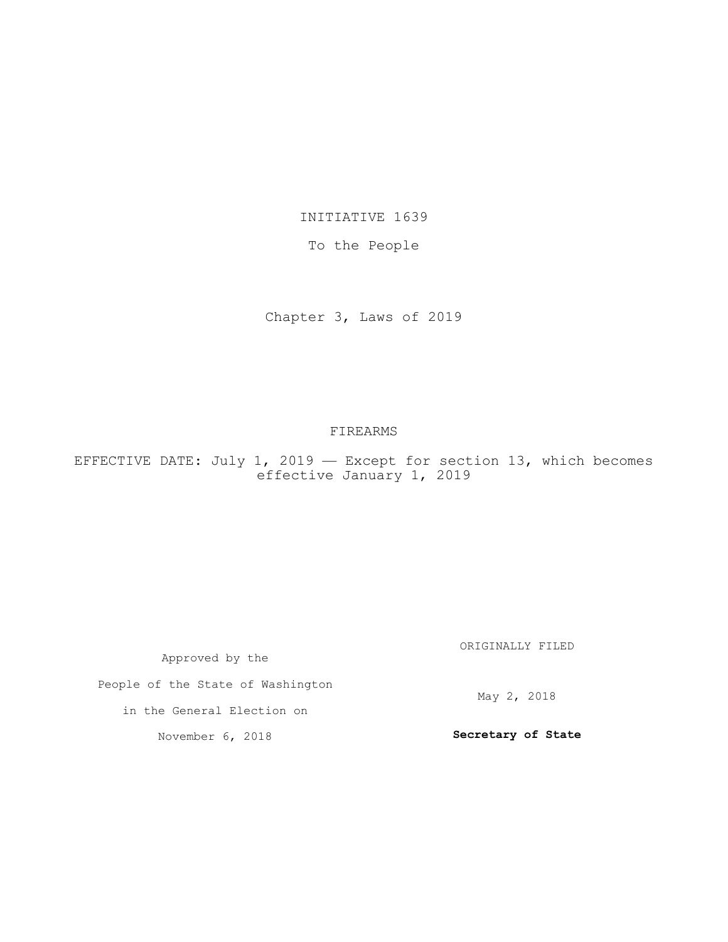INITIATIVE 1639

To the People

Chapter 3, Laws of 2019

## FIREARMS

EFFECTIVE DATE: July 1, 2019 - Except for section 13, which becomes effective January 1, 2019

Approved by the People of the State of Washington in the General Election on November 6, 2018 ORIGINALLY FILED May 2, 2018 **Secretary of State**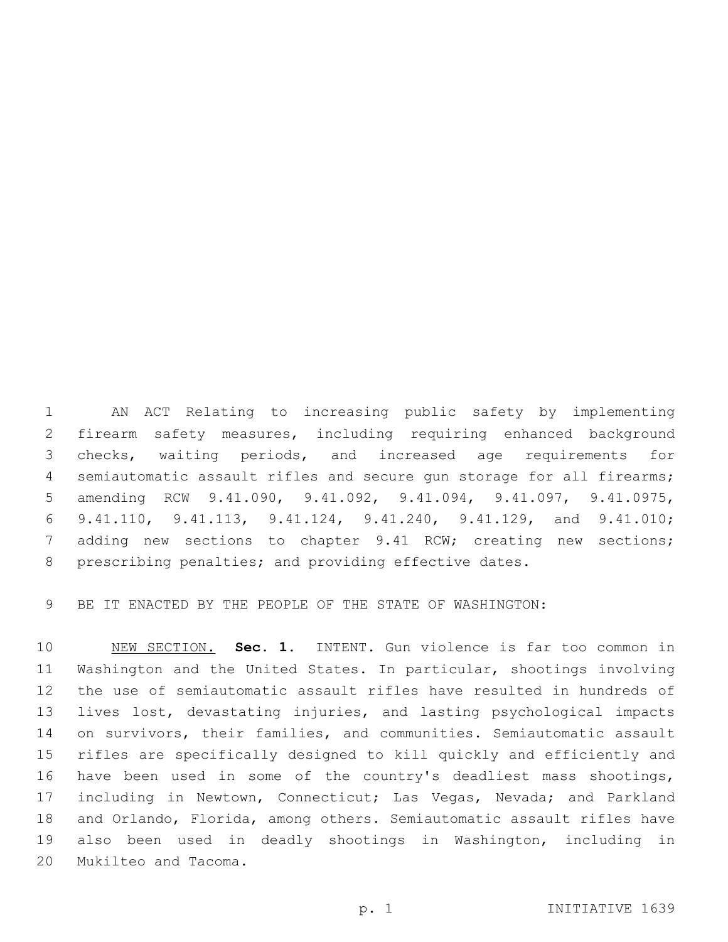AN ACT Relating to increasing public safety by implementing firearm safety measures, including requiring enhanced background checks, waiting periods, and increased age requirements for semiautomatic assault rifles and secure gun storage for all firearms; amending RCW 9.41.090, 9.41.092, 9.41.094, 9.41.097, 9.41.0975, 9.41.110, 9.41.113, 9.41.124, 9.41.240, 9.41.129, and 9.41.010; adding new sections to chapter 9.41 RCW; creating new sections; prescribing penalties; and providing effective dates.

BE IT ENACTED BY THE PEOPLE OF THE STATE OF WASHINGTON:

 NEW SECTION. **Sec. 1.** INTENT. Gun violence is far too common in Washington and the United States. In particular, shootings involving the use of semiautomatic assault rifles have resulted in hundreds of lives lost, devastating injuries, and lasting psychological impacts on survivors, their families, and communities. Semiautomatic assault rifles are specifically designed to kill quickly and efficiently and have been used in some of the country's deadliest mass shootings, including in Newtown, Connecticut; Las Vegas, Nevada; and Parkland and Orlando, Florida, among others. Semiautomatic assault rifles have also been used in deadly shootings in Washington, including in Mukilteo and Tacoma.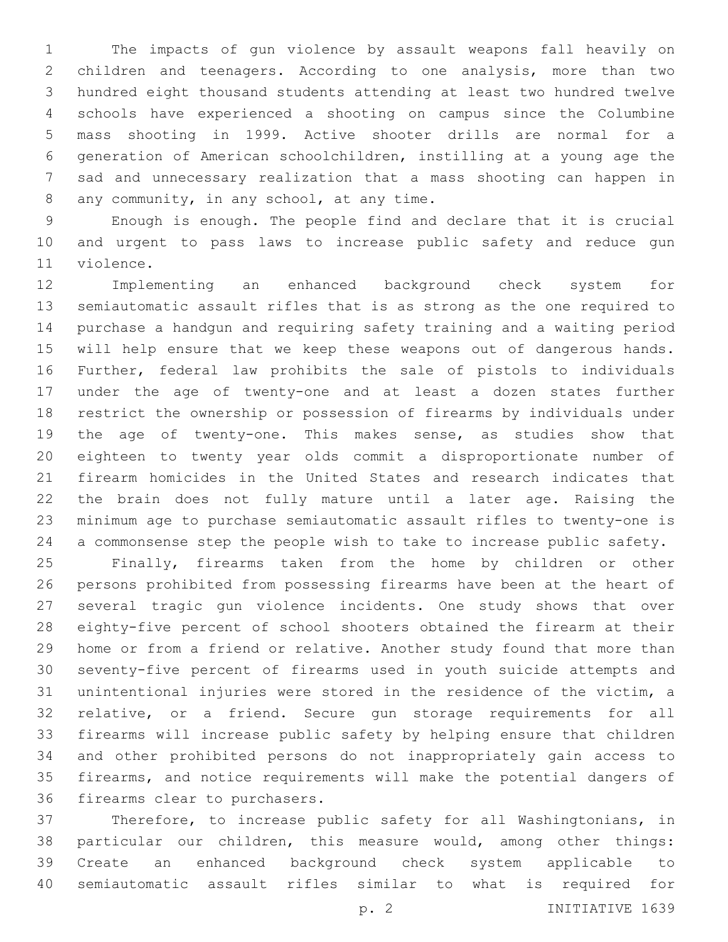The impacts of gun violence by assault weapons fall heavily on children and teenagers. According to one analysis, more than two hundred eight thousand students attending at least two hundred twelve schools have experienced a shooting on campus since the Columbine mass shooting in 1999. Active shooter drills are normal for a generation of American schoolchildren, instilling at a young age the sad and unnecessary realization that a mass shooting can happen in 8 any community, in any school, at any time.

 Enough is enough. The people find and declare that it is crucial and urgent to pass laws to increase public safety and reduce gun 11 violence.

 Implementing an enhanced background check system for semiautomatic assault rifles that is as strong as the one required to purchase a handgun and requiring safety training and a waiting period will help ensure that we keep these weapons out of dangerous hands. Further, federal law prohibits the sale of pistols to individuals under the age of twenty-one and at least a dozen states further restrict the ownership or possession of firearms by individuals under the age of twenty-one. This makes sense, as studies show that eighteen to twenty year olds commit a disproportionate number of firearm homicides in the United States and research indicates that the brain does not fully mature until a later age. Raising the minimum age to purchase semiautomatic assault rifles to twenty-one is a commonsense step the people wish to take to increase public safety.

 Finally, firearms taken from the home by children or other persons prohibited from possessing firearms have been at the heart of several tragic gun violence incidents. One study shows that over eighty-five percent of school shooters obtained the firearm at their home or from a friend or relative. Another study found that more than seventy-five percent of firearms used in youth suicide attempts and unintentional injuries were stored in the residence of the victim, a relative, or a friend. Secure gun storage requirements for all firearms will increase public safety by helping ensure that children and other prohibited persons do not inappropriately gain access to firearms, and notice requirements will make the potential dangers of 36 firearms clear to purchasers.

 Therefore, to increase public safety for all Washingtonians, in particular our children, this measure would, among other things: Create an enhanced background check system applicable to semiautomatic assault rifles similar to what is required for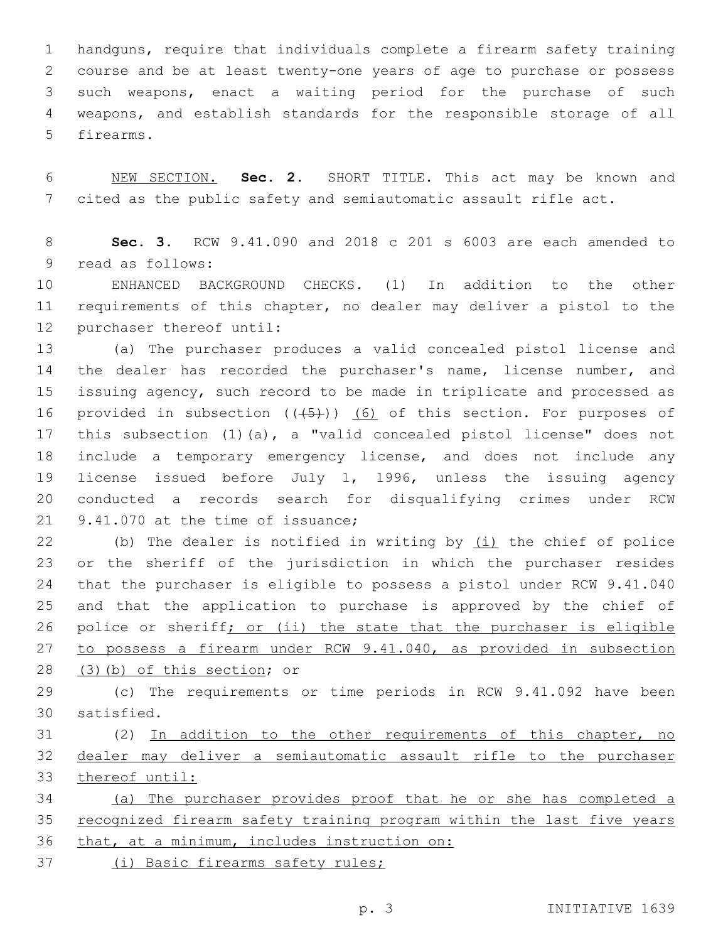handguns, require that individuals complete a firearm safety training course and be at least twenty-one years of age to purchase or possess such weapons, enact a waiting period for the purchase of such weapons, and establish standards for the responsible storage of all 5 firearms.

 NEW SECTION. **Sec. 2.** SHORT TITLE. This act may be known and cited as the public safety and semiautomatic assault rifle act.

 **Sec. 3.** RCW 9.41.090 and 2018 c 201 s 6003 are each amended to 9 read as follows:

 ENHANCED BACKGROUND CHECKS. (1) In addition to the other requirements of this chapter, no dealer may deliver a pistol to the 12 purchaser thereof until:

 (a) The purchaser produces a valid concealed pistol license and 14 the dealer has recorded the purchaser's name, license number, and issuing agency, such record to be made in triplicate and processed as 16 provided in subsection  $((+5))$  (6) of this section. For purposes of this subsection (1)(a), a "valid concealed pistol license" does not include a temporary emergency license, and does not include any license issued before July 1, 1996, unless the issuing agency conducted a records search for disqualifying crimes under RCW 21 9.41.070 at the time of issuance;

22 (b) The dealer is notified in writing by  $(i)$  the chief of police or the sheriff of the jurisdiction in which the purchaser resides that the purchaser is eligible to possess a pistol under RCW 9.41.040 and that the application to purchase is approved by the chief of 26 police or sheriff; or (ii) the state that the purchaser is eligible to possess a firearm under RCW 9.41.040, as provided in subsection  $(3)(b)$  of this section; or

 (c) The requirements or time periods in RCW 9.41.092 have been 30 satisfied.

 (2) In addition to the other requirements of this chapter, no dealer may deliver a semiautomatic assault rifle to the purchaser 33 thereof until:

 (a) The purchaser provides proof that he or she has completed a recognized firearm safety training program within the last five years that, at a minimum, includes instruction on:

(i) Basic firearms safety rules;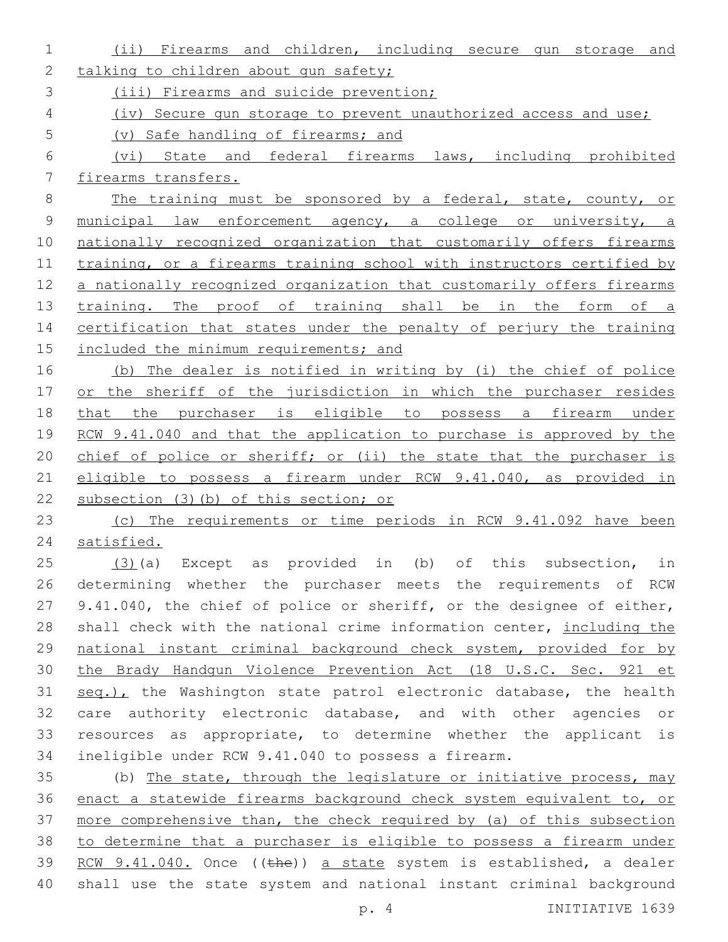(ii) Firearms and children, including secure gun storage and 2 talking to children about gun safety; (iii) Firearms and suicide prevention; (iv) Secure gun storage to prevent unauthorized access and use; (v) Safe handling of firearms; and (vi) State and federal firearms laws, including prohibited firearms transfers. 8 The training must be sponsored by a federal, state, county, or 9 municipal law enforcement agency, a college or university, a nationally recognized organization that customarily offers firearms training, or a firearms training school with instructors certified by a nationally recognized organization that customarily offers firearms 13 training. The proof of training shall be in the form of a 14 certification that states under the penalty of perjury the training 15 included the minimum requirements; and 16 (b) The dealer is notified in writing by (i) the chief of police 17 or the sheriff of the jurisdiction in which the purchaser resides that the purchaser is eligible to possess a firearm under 19 RCW 9.41.040 and that the application to purchase is approved by the 20 chief of police or sheriff; or (ii) the state that the purchaser is eligible to possess a firearm under RCW 9.41.040, as provided in subsection (3)(b) of this section; or (c) The requirements or time periods in RCW 9.41.092 have been satisfied. (3)(a) Except as provided in (b) of this subsection, in determining whether the purchaser meets the requirements of RCW 9.41.040, the chief of police or sheriff, or the designee of either, 28 shall check with the national crime information center, including the national instant criminal background check system, provided for by the Brady Handgun Violence Prevention Act (18 U.S.C. Sec. 921 et 31 seq.), the Washington state patrol electronic database, the health care authority electronic database, and with other agencies or resources as appropriate, to determine whether the applicant is ineligible under RCW 9.41.040 to possess a firearm. (b) The state, through the legislature or initiative process, may enact a statewide firearms background check system equivalent to, or

 more comprehensive than, the check required by (a) of this subsection to determine that a purchaser is eligible to possess a firearm under 39 RCW 9.41.040. Once ((the)) a state system is established, a dealer shall use the state system and national instant criminal background

p. 4 INITIATIVE 1639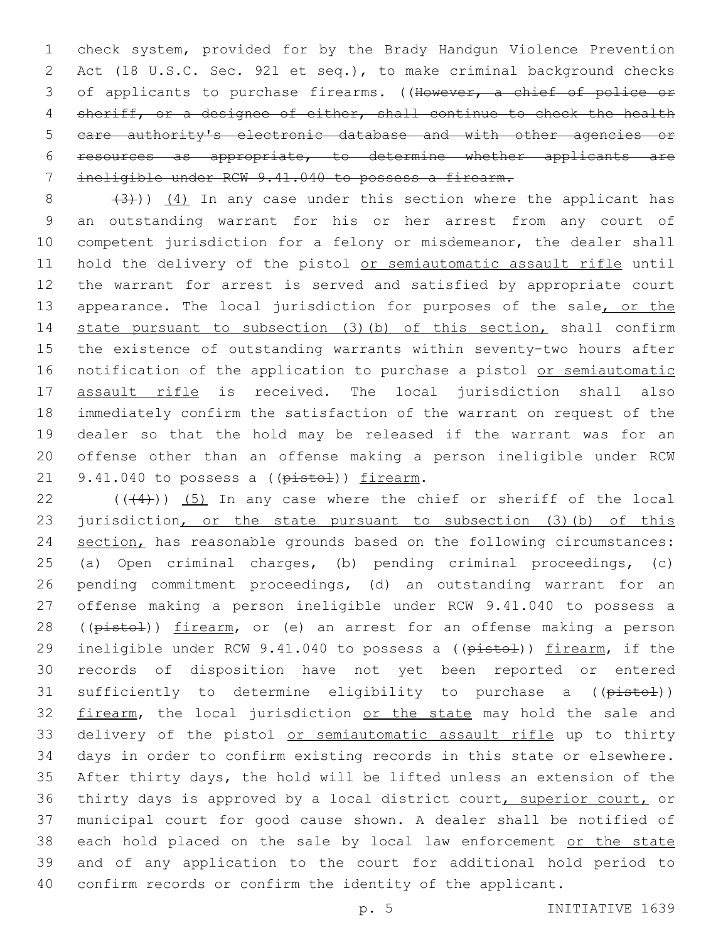check system, provided for by the Brady Handgun Violence Prevention Act (18 U.S.C. Sec. 921 et seq.), to make criminal background checks 3 of applicants to purchase firearms. ((However, a chief of police or 4 sheriff, or a designee of either, shall continue to check the health care authority's electronic database and with other agencies or resources as appropriate, to determine whether applicants are ineligible under RCW 9.41.040 to possess a firearm.

 $(3)$   $(4)$  In any case under this section where the applicant has 9 an outstanding warrant for his or her arrest from any court of 10 competent jurisdiction for a felony or misdemeanor, the dealer shall 11 hold the delivery of the pistol or semiautomatic assault rifle until 12 the warrant for arrest is served and satisfied by appropriate court 13 appearance. The local jurisdiction for purposes of the sale, or the 14 state pursuant to subsection (3)(b) of this section, shall confirm 15 the existence of outstanding warrants within seventy-two hours after 16 notification of the application to purchase a pistol or semiautomatic 17 assault rifle is received. The local jurisdiction shall also 18 immediately confirm the satisfaction of the warrant on request of the 19 dealer so that the hold may be released if the warrant was for an 20 offense other than an offense making a person ineligible under RCW 21 9.41.040 to possess a  $((pist0+) )$  firearm.

 $(1)$  ( $(4)$ ))  $(5)$  In any case where the chief or sheriff of the local 23 jurisdiction, or the state pursuant to subsection (3) (b) of this 24 section, has reasonable grounds based on the following circumstances: 25 (a) Open criminal charges, (b) pending criminal proceedings, (c) 26 pending commitment proceedings, (d) an outstanding warrant for an 27 offense making a person ineligible under RCW 9.41.040 to possess a 28 ((pistol)) firearm, or (e) an arrest for an offense making a person 29 ineligible under RCW 9.41.040 to possess a ((pistol)) firearm, if the 30 records of disposition have not yet been reported or entered 31 sufficiently to determine eligibility to purchase a ((pistol)) 32 firearm, the local jurisdiction or the state may hold the sale and 33 delivery of the pistol or semiautomatic assault rifle up to thirty 34 days in order to confirm existing records in this state or elsewhere. 35 After thirty days, the hold will be lifted unless an extension of the 36 thirty days is approved by a local district court, superior court, or 37 municipal court for good cause shown. A dealer shall be notified of 38 each hold placed on the sale by local law enforcement or the state 39 and of any application to the court for additional hold period to 40 confirm records or confirm the identity of the applicant.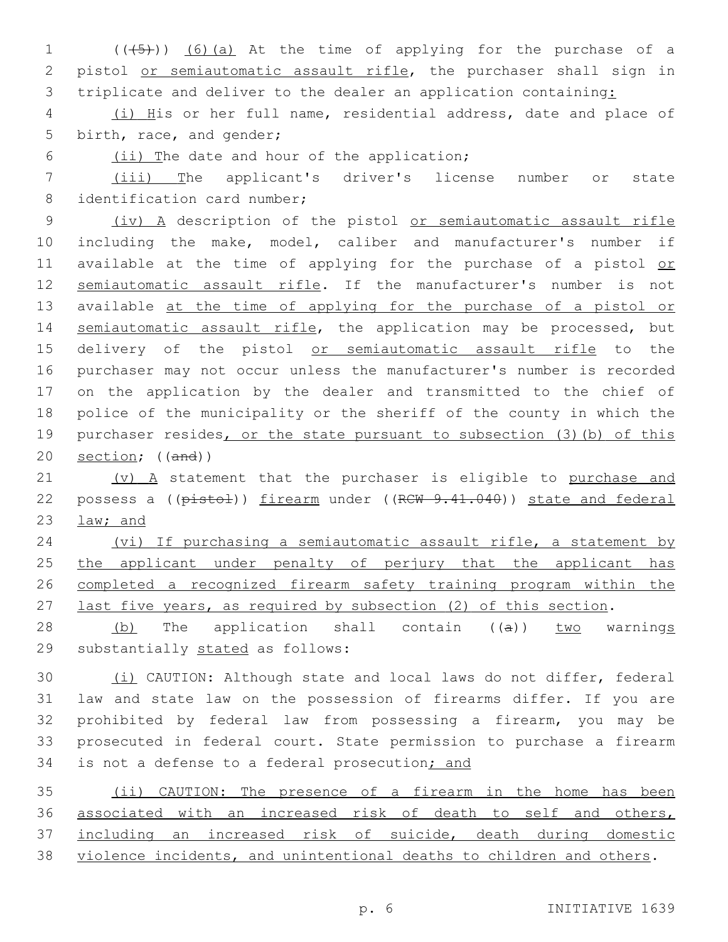1 (( $(45)$ )) (6)(a) At the time of applying for the purchase of a 2 pistol or semiautomatic assault rifle, the purchaser shall sign in 3 triplicate and deliver to the dealer an application containing:

4 (i) His or her full name, residential address, date and place of 5 birth, race, and gender;

 $(i)$  The date and hour of the application;

7 (iii) The applicant's driver's license number or state 8 identification card number;

9 (iv) A description of the pistol or semiautomatic assault rifle 10 including the make, model, caliber and manufacturer's number if 11 available at the time of applying for the purchase of a pistol or 12 semiautomatic assault rifle. If the manufacturer's number is not 13 available at the time of applying for the purchase of a pistol or 14 semiautomatic assault rifle, the application may be processed, but 15 delivery of the pistol or semiautomatic assault rifle to the 16 purchaser may not occur unless the manufacturer's number is recorded 17 on the application by the dealer and transmitted to the chief of 18 police of the municipality or the sheriff of the county in which the 19 purchaser resides, or the state pursuant to subsection (3) (b) of this 20 section; ((and))

21 (v) A statement that the purchaser is eligible to purchase and 22 possess a ((pistol)) firearm under ((RCW 9.41.040)) state and federal 23 law; and

 (vi) If purchasing a semiautomatic assault rifle, a statement by 25 the applicant under penalty of perjury that the applicant has completed a recognized firearm safety training program within the last five years, as required by subsection (2) of this section.

28  $(b)$  The application shall contain  $((a))$  two warnings 29 substantially stated as follows:

 (i) CAUTION: Although state and local laws do not differ, federal law and state law on the possession of firearms differ. If you are prohibited by federal law from possessing a firearm, you may be prosecuted in federal court. State permission to purchase a firearm 34 is not a defense to a federal prosecution; and

 (ii) CAUTION: The presence of a firearm in the home has been associated with an increased risk of death to self and others, including an increased risk of suicide, death during domestic violence incidents, and unintentional deaths to children and others.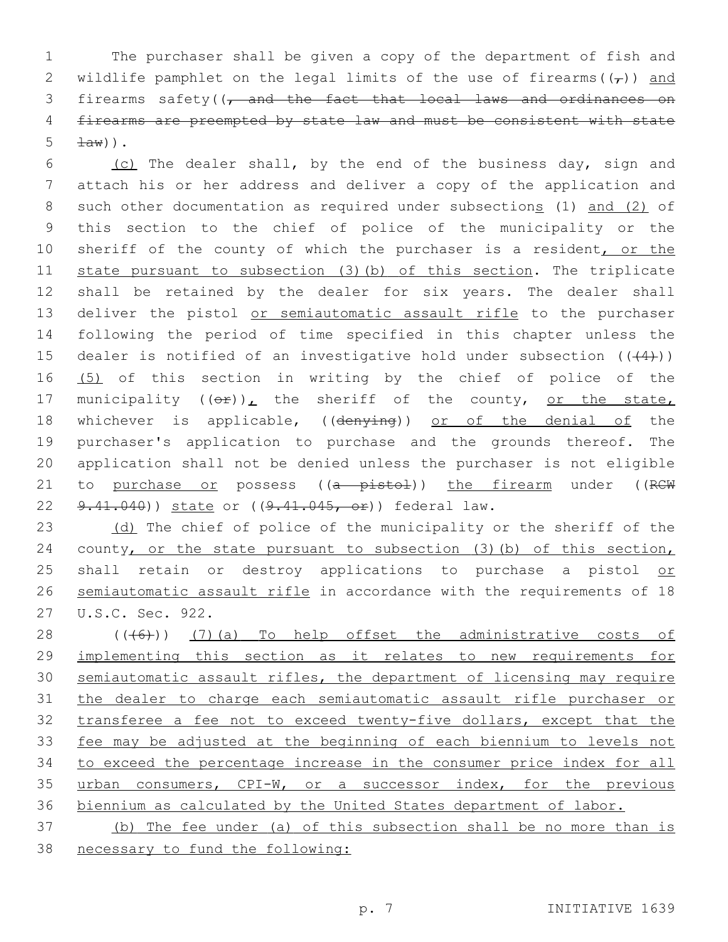1 The purchaser shall be given a copy of the department of fish and 2 wildlife pamphlet on the legal limits of the use of firearms  $(\tau)$  and 3 firearms safety( $\sqrt{7}$  and the fact that local laws and ordinances on 4 firearms are preempted by state law and must be consistent with state 5  $\pm$ aw)).

6 (c) The dealer shall, by the end of the business day, sign and 7 attach his or her address and deliver a copy of the application and 8 such other documentation as required under subsections (1) and (2) of 9 this section to the chief of police of the municipality or the 10 sheriff of the county of which the purchaser is a resident, or the 11 state pursuant to subsection (3)(b) of this section. The triplicate 12 shall be retained by the dealer for six years. The dealer shall 13 deliver the pistol or semiautomatic assault rifle to the purchaser 14 following the period of time specified in this chapter unless the 15 dealer is notified of an investigative hold under subsection  $((+4))$ 16 (5) of this section in writing by the chief of police of the 17 municipality  $((e^E))^L$  the sheriff of the county, or the state, 18 whichever is applicable, ((denying)) or of the denial of the 19 purchaser's application to purchase and the grounds thereof. The 20 application shall not be denied unless the purchaser is not eligible 21 to purchase or possess ((a pistol)) the firearm under ((RCW 22 9.41.040)) state or ((9.41.045, or)) federal law.

23 (d) The chief of police of the municipality or the sheriff of the 24 county, or the state pursuant to subsection  $(3)$  (b) of this section, 25 shall retain or destroy applications to purchase a pistol or 26 semiautomatic assault rifle in accordance with the requirements of 18 27 U.S.C. Sec. 922.

 $((+6+))$   $(7)$  (a) To help offset the administrative costs of implementing this section as it relates to new requirements for semiautomatic assault rifles, the department of licensing may require the dealer to charge each semiautomatic assault rifle purchaser or transferee a fee not to exceed twenty-five dollars, except that the fee may be adjusted at the beginning of each biennium to levels not to exceed the percentage increase in the consumer price index for all 35 urban consumers, CPI-W, or a successor index, for the previous biennium as calculated by the United States department of labor.

37 (b) The fee under (a) of this subsection shall be no more than is 38 necessary to fund the following: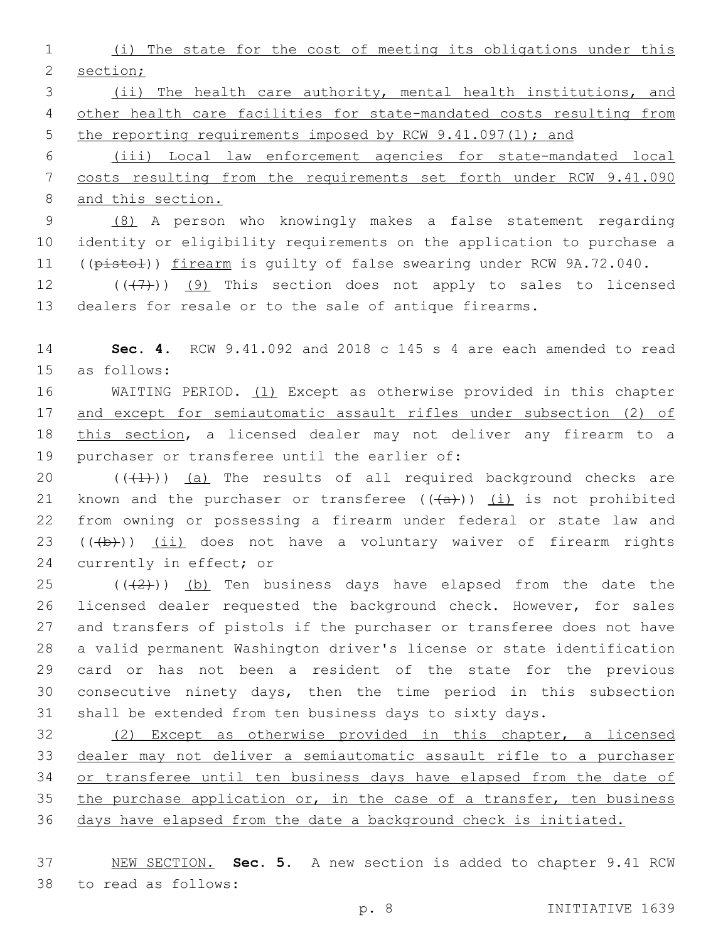(i) The state for the cost of meeting its obligations under this section;

 (ii) The health care authority, mental health institutions, and other health care facilities for state-mandated costs resulting from 5 the reporting requirements imposed by RCW 9.41.097(1); and

 (iii) Local law enforcement agencies for state-mandated local costs resulting from the requirements set forth under RCW 9.41.090 and this section.

 (8) A person who knowingly makes a false statement regarding identity or eligibility requirements on the application to purchase a 11 ((pistol)) firearm is quilty of false swearing under RCW 9A.72.040.

12  $((+7+))$  (9) This section does not apply to sales to licensed dealers for resale or to the sale of antique firearms.

 **Sec. 4.** RCW 9.41.092 and 2018 c 145 s 4 are each amended to read as follows:15

16 WAITING PERIOD. (1) Except as otherwise provided in this chapter and except for semiautomatic assault rifles under subsection (2) of this section, a licensed dealer may not deliver any firearm to a 19 purchaser or transferee until the earlier of:

 $((+1))$  (a) The results of all required background checks are 21 known and the purchaser or transferee  $((+a))$  (i) is not prohibited from owning or possessing a firearm under federal or state law and 23  $((+b))$  (ii) does not have a voluntary waiver of firearm rights 24 currently in effect; or

 $((+2+))$  (b) Ten business days have elapsed from the date the licensed dealer requested the background check. However, for sales and transfers of pistols if the purchaser or transferee does not have a valid permanent Washington driver's license or state identification card or has not been a resident of the state for the previous consecutive ninety days, then the time period in this subsection shall be extended from ten business days to sixty days.

 (2) Except as otherwise provided in this chapter, a licensed dealer may not deliver a semiautomatic assault rifle to a purchaser or transferee until ten business days have elapsed from the date of 35 the purchase application or, in the case of a transfer, ten business days have elapsed from the date a background check is initiated.

 NEW SECTION. **Sec. 5.** A new section is added to chapter 9.41 RCW to read as follows:38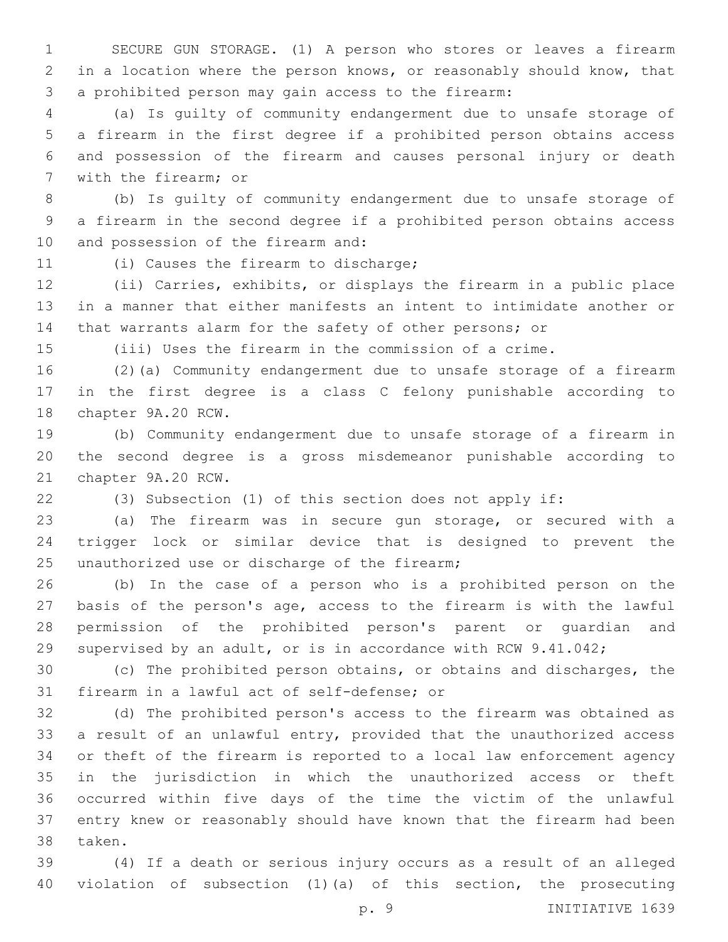SECURE GUN STORAGE. (1) A person who stores or leaves a firearm in a location where the person knows, or reasonably should know, that a prohibited person may gain access to the firearm:

 (a) Is guilty of community endangerment due to unsafe storage of a firearm in the first degree if a prohibited person obtains access and possession of the firearm and causes personal injury or death 7 with the firearm; or

 (b) Is guilty of community endangerment due to unsafe storage of a firearm in the second degree if a prohibited person obtains access 10 and possession of the firearm and:

11 (i) Causes the firearm to discharge;

 (ii) Carries, exhibits, or displays the firearm in a public place in a manner that either manifests an intent to intimidate another or that warrants alarm for the safety of other persons; or

(iii) Uses the firearm in the commission of a crime.

 (2)(a) Community endangerment due to unsafe storage of a firearm in the first degree is a class C felony punishable according to 18 chapter 9A.20 RCW.

 (b) Community endangerment due to unsafe storage of a firearm in the second degree is a gross misdemeanor punishable according to 21 chapter 9A.20 RCW.

(3) Subsection (1) of this section does not apply if:

 (a) The firearm was in secure gun storage, or secured with a trigger lock or similar device that is designed to prevent the 25 unauthorized use or discharge of the firearm;

 (b) In the case of a person who is a prohibited person on the basis of the person's age, access to the firearm is with the lawful permission of the prohibited person's parent or guardian and supervised by an adult, or is in accordance with RCW 9.41.042;

 (c) The prohibited person obtains, or obtains and discharges, the 31 firearm in a lawful act of self-defense; or

 (d) The prohibited person's access to the firearm was obtained as a result of an unlawful entry, provided that the unauthorized access or theft of the firearm is reported to a local law enforcement agency in the jurisdiction in which the unauthorized access or theft occurred within five days of the time the victim of the unlawful entry knew or reasonably should have known that the firearm had been 38 taken.

 (4) If a death or serious injury occurs as a result of an alleged violation of subsection (1)(a) of this section, the prosecuting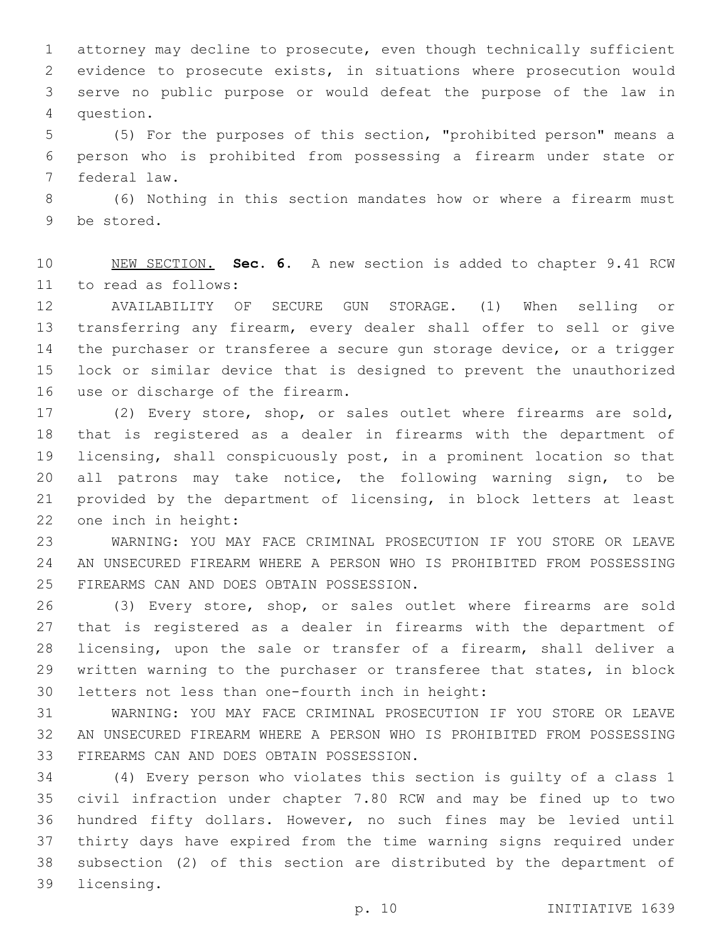attorney may decline to prosecute, even though technically sufficient evidence to prosecute exists, in situations where prosecution would serve no public purpose or would defeat the purpose of the law in 4 question.

 (5) For the purposes of this section, "prohibited person" means a person who is prohibited from possessing a firearm under state or 7 federal law.

 (6) Nothing in this section mandates how or where a firearm must 9 be stored.

 NEW SECTION. **Sec. 6.** A new section is added to chapter 9.41 RCW 11 to read as follows:

 AVAILABILITY OF SECURE GUN STORAGE. (1) When selling or transferring any firearm, every dealer shall offer to sell or give 14 the purchaser or transferee a secure gun storage device, or a trigger lock or similar device that is designed to prevent the unauthorized 16 use or discharge of the firearm.

 (2) Every store, shop, or sales outlet where firearms are sold, that is registered as a dealer in firearms with the department of licensing, shall conspicuously post, in a prominent location so that all patrons may take notice, the following warning sign, to be provided by the department of licensing, in block letters at least 22 one inch in height:

 WARNING: YOU MAY FACE CRIMINAL PROSECUTION IF YOU STORE OR LEAVE AN UNSECURED FIREARM WHERE A PERSON WHO IS PROHIBITED FROM POSSESSING 25 FIREARMS CAN AND DOES OBTAIN POSSESSION.

 (3) Every store, shop, or sales outlet where firearms are sold that is registered as a dealer in firearms with the department of licensing, upon the sale or transfer of a firearm, shall deliver a written warning to the purchaser or transferee that states, in block 30 letters not less than one-fourth inch in height:

 WARNING: YOU MAY FACE CRIMINAL PROSECUTION IF YOU STORE OR LEAVE AN UNSECURED FIREARM WHERE A PERSON WHO IS PROHIBITED FROM POSSESSING 33 FIREARMS CAN AND DOES OBTAIN POSSESSION.

 (4) Every person who violates this section is guilty of a class 1 civil infraction under chapter 7.80 RCW and may be fined up to two hundred fifty dollars. However, no such fines may be levied until thirty days have expired from the time warning signs required under subsection (2) of this section are distributed by the department of 39 licensing.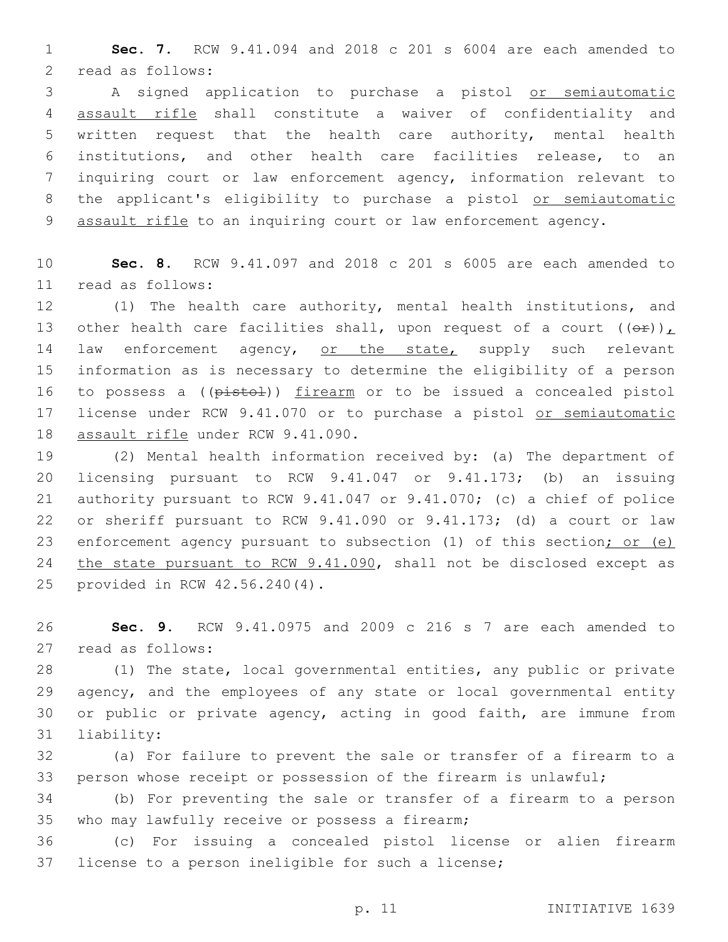**Sec. 7.** RCW 9.41.094 and 2018 c 201 s 6004 are each amended to 2 read as follows:

 A signed application to purchase a pistol or semiautomatic assault rifle shall constitute a waiver of confidentiality and written request that the health care authority, mental health institutions, and other health care facilities release, to an inquiring court or law enforcement agency, information relevant to the applicant's eligibility to purchase a pistol or semiautomatic assault rifle to an inquiring court or law enforcement agency.

 **Sec. 8.** RCW 9.41.097 and 2018 c 201 s 6005 are each amended to read as follows:11

 (1) The health care authority, mental health institutions, and 13 other health care facilities shall, upon request of a court  $((\theta \cdot \mathbf{r}))$ 14 law enforcement agency, or the state, supply such relevant information as is necessary to determine the eligibility of a person 16 to possess a ((pistol)) firearm or to be issued a concealed pistol license under RCW 9.41.070 or to purchase a pistol or semiautomatic 18 assault rifle under RCW 9.41.090.

 (2) Mental health information received by: (a) The department of licensing pursuant to RCW 9.41.047 or 9.41.173; (b) an issuing authority pursuant to RCW 9.41.047 or 9.41.070; (c) a chief of police or sheriff pursuant to RCW 9.41.090 or 9.41.173; (d) a court or law 23 enforcement agency pursuant to subsection (1) of this section; or (e) 24 the state pursuant to RCW 9.41.090, shall not be disclosed except as 25 provided in RCW 42.56.240(4).

 **Sec. 9.** RCW 9.41.0975 and 2009 c 216 s 7 are each amended to read as follows:27

 (1) The state, local governmental entities, any public or private agency, and the employees of any state or local governmental entity or public or private agency, acting in good faith, are immune from 31 liability:

 (a) For failure to prevent the sale or transfer of a firearm to a person whose receipt or possession of the firearm is unlawful;

 (b) For preventing the sale or transfer of a firearm to a person 35 who may lawfully receive or possess a firearm;

 (c) For issuing a concealed pistol license or alien firearm license to a person ineligible for such a license;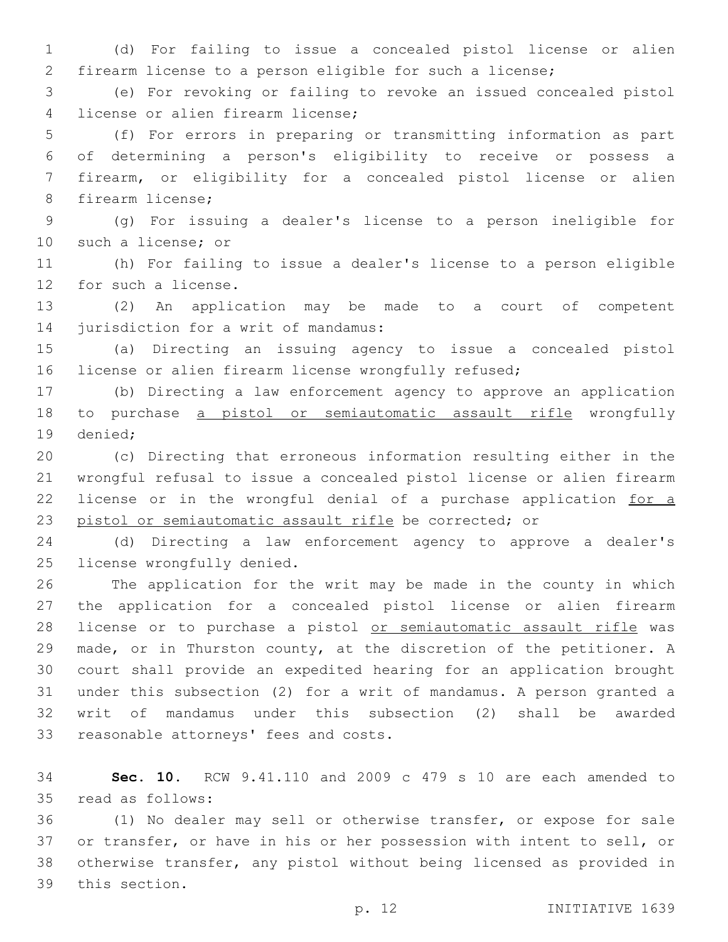(d) For failing to issue a concealed pistol license or alien firearm license to a person eligible for such a license;

 (e) For revoking or failing to revoke an issued concealed pistol 4 license or alien firearm license;

 (f) For errors in preparing or transmitting information as part of determining a person's eligibility to receive or possess a firearm, or eligibility for a concealed pistol license or alien 8 firearm license;

 (g) For issuing a dealer's license to a person ineligible for 10 such a license; or

 (h) For failing to issue a dealer's license to a person eligible 12 for such a license.

 (2) An application may be made to a court of competent 14 jurisdiction for a writ of mandamus:

 (a) Directing an issuing agency to issue a concealed pistol license or alien firearm license wrongfully refused;

 (b) Directing a law enforcement agency to approve an application to purchase a pistol or semiautomatic assault rifle wrongfully 19 denied;

 (c) Directing that erroneous information resulting either in the wrongful refusal to issue a concealed pistol license or alien firearm 22 license or in the wrongful denial of a purchase application for a pistol or semiautomatic assault rifle be corrected; or

 (d) Directing a law enforcement agency to approve a dealer's 25 license wrongfully denied.

 The application for the writ may be made in the county in which the application for a concealed pistol license or alien firearm 28 license or to purchase a pistol or semiautomatic assault rifle was made, or in Thurston county, at the discretion of the petitioner. A court shall provide an expedited hearing for an application brought under this subsection (2) for a writ of mandamus. A person granted a writ of mandamus under this subsection (2) shall be awarded 33 reasonable attorneys' fees and costs.

 **Sec. 10.** RCW 9.41.110 and 2009 c 479 s 10 are each amended to 35 read as follows:

 (1) No dealer may sell or otherwise transfer, or expose for sale or transfer, or have in his or her possession with intent to sell, or otherwise transfer, any pistol without being licensed as provided in 39 this section.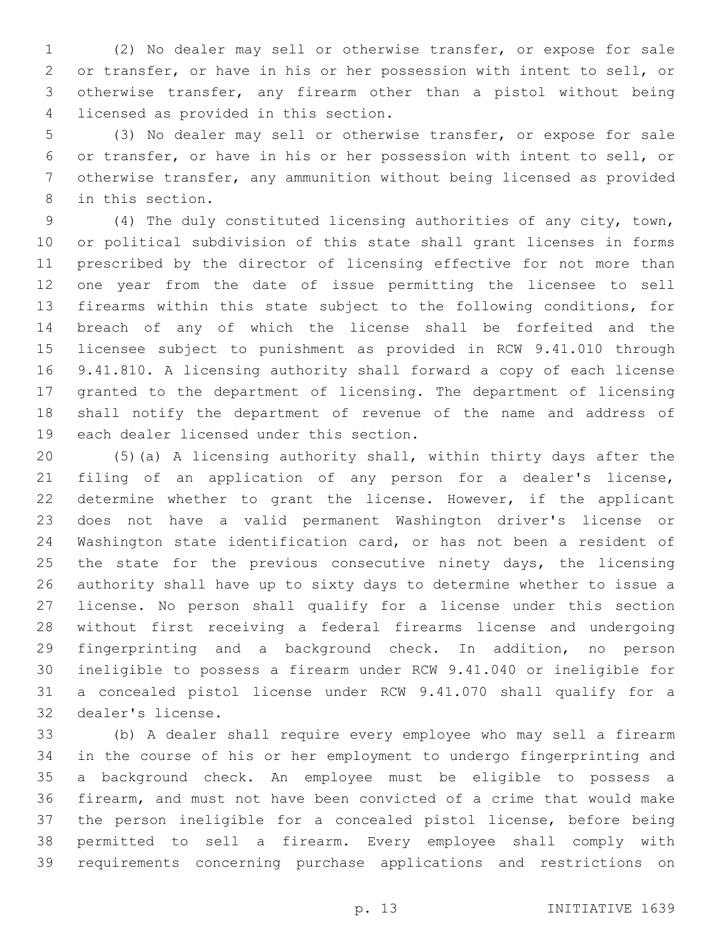(2) No dealer may sell or otherwise transfer, or expose for sale or transfer, or have in his or her possession with intent to sell, or otherwise transfer, any firearm other than a pistol without being 4 licensed as provided in this section.

 (3) No dealer may sell or otherwise transfer, or expose for sale or transfer, or have in his or her possession with intent to sell, or otherwise transfer, any ammunition without being licensed as provided 8 in this section.

 (4) The duly constituted licensing authorities of any city, town, or political subdivision of this state shall grant licenses in forms prescribed by the director of licensing effective for not more than one year from the date of issue permitting the licensee to sell firearms within this state subject to the following conditions, for breach of any of which the license shall be forfeited and the licensee subject to punishment as provided in RCW 9.41.010 through 9.41.810. A licensing authority shall forward a copy of each license granted to the department of licensing. The department of licensing shall notify the department of revenue of the name and address of 19 each dealer licensed under this section.

 (5)(a) A licensing authority shall, within thirty days after the filing of an application of any person for a dealer's license, determine whether to grant the license. However, if the applicant does not have a valid permanent Washington driver's license or Washington state identification card, or has not been a resident of 25 the state for the previous consecutive ninety days, the licensing authority shall have up to sixty days to determine whether to issue a license. No person shall qualify for a license under this section without first receiving a federal firearms license and undergoing fingerprinting and a background check. In addition, no person ineligible to possess a firearm under RCW 9.41.040 or ineligible for a concealed pistol license under RCW 9.41.070 shall qualify for a 32 dealer's license.

 (b) A dealer shall require every employee who may sell a firearm in the course of his or her employment to undergo fingerprinting and a background check. An employee must be eligible to possess a firearm, and must not have been convicted of a crime that would make the person ineligible for a concealed pistol license, before being permitted to sell a firearm. Every employee shall comply with requirements concerning purchase applications and restrictions on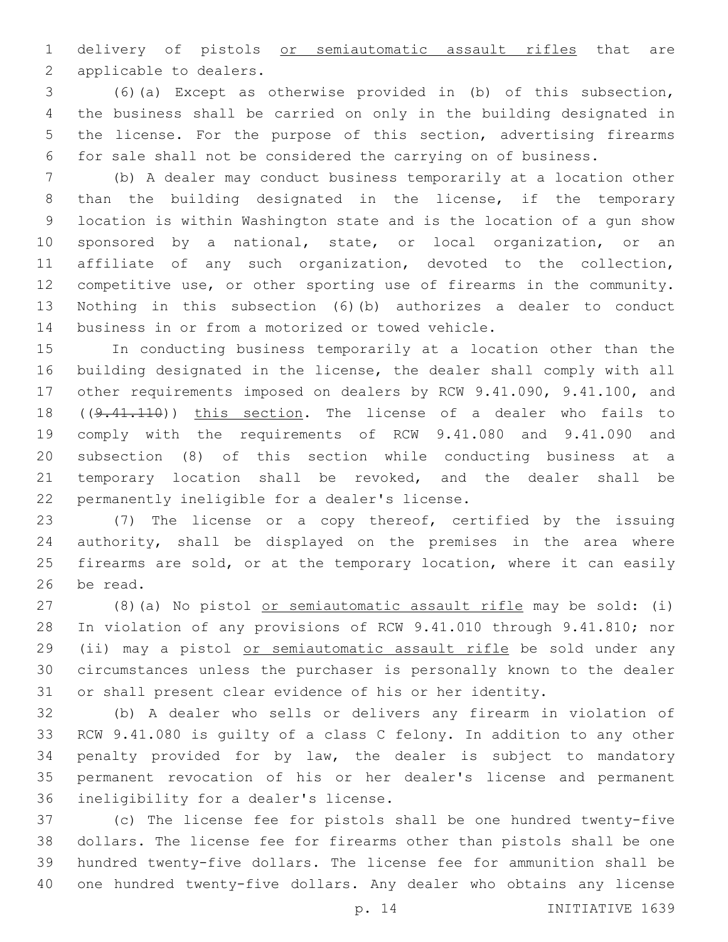delivery of pistols or semiautomatic assault rifles that are 2 applicable to dealers.

 (6)(a) Except as otherwise provided in (b) of this subsection, the business shall be carried on only in the building designated in the license. For the purpose of this section, advertising firearms for sale shall not be considered the carrying on of business.

 (b) A dealer may conduct business temporarily at a location other than the building designated in the license, if the temporary location is within Washington state and is the location of a gun show sponsored by a national, state, or local organization, or an affiliate of any such organization, devoted to the collection, competitive use, or other sporting use of firearms in the community. Nothing in this subsection (6)(b) authorizes a dealer to conduct 14 business in or from a motorized or towed vehicle.

 In conducting business temporarily at a location other than the building designated in the license, the dealer shall comply with all other requirements imposed on dealers by RCW 9.41.090, 9.41.100, and 18 ((9.41.110)) this section. The license of a dealer who fails to comply with the requirements of RCW 9.41.080 and 9.41.090 and subsection (8) of this section while conducting business at a temporary location shall be revoked, and the dealer shall be 22 permanently ineligible for a dealer's license.

 (7) The license or a copy thereof, certified by the issuing authority, shall be displayed on the premises in the area where 25 firearms are sold, or at the temporary location, where it can easily 26 be read.

 (8)(a) No pistol or semiautomatic assault rifle may be sold: (i) In violation of any provisions of RCW 9.41.010 through 9.41.810; nor (ii) may a pistol or semiautomatic assault rifle be sold under any circumstances unless the purchaser is personally known to the dealer or shall present clear evidence of his or her identity.

 (b) A dealer who sells or delivers any firearm in violation of RCW 9.41.080 is guilty of a class C felony. In addition to any other penalty provided for by law, the dealer is subject to mandatory permanent revocation of his or her dealer's license and permanent 36 ineligibility for a dealer's license.

 (c) The license fee for pistols shall be one hundred twenty-five dollars. The license fee for firearms other than pistols shall be one hundred twenty-five dollars. The license fee for ammunition shall be one hundred twenty-five dollars. Any dealer who obtains any license

p. 14 INITIATIVE 1639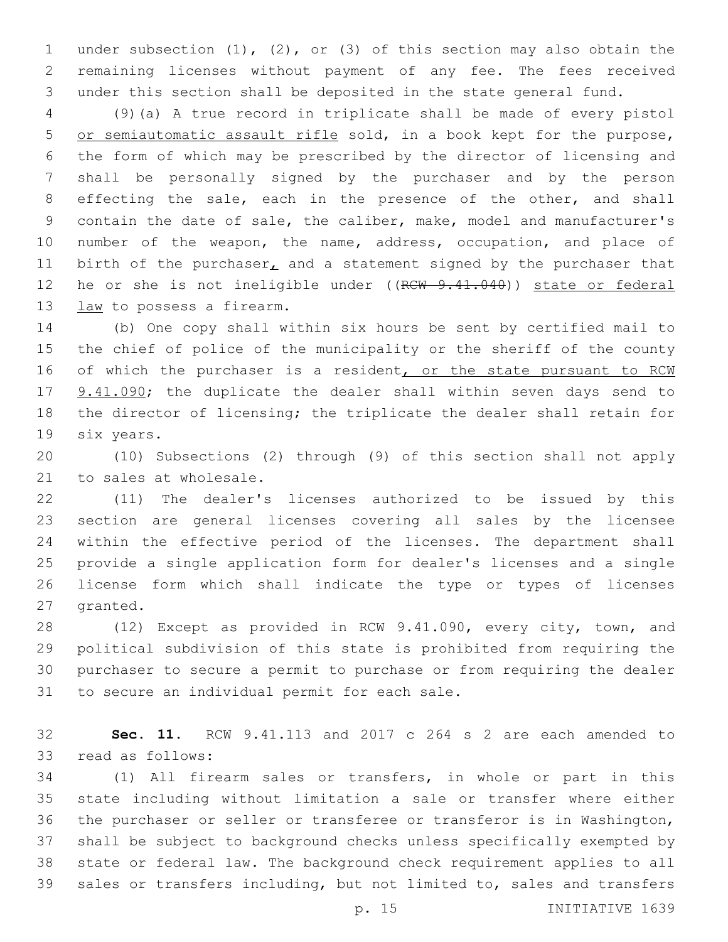under subsection (1), (2), or (3) of this section may also obtain the remaining licenses without payment of any fee. The fees received under this section shall be deposited in the state general fund.

 (9)(a) A true record in triplicate shall be made of every pistol or semiautomatic assault rifle sold, in a book kept for the purpose, the form of which may be prescribed by the director of licensing and shall be personally signed by the purchaser and by the person 8 effecting the sale, each in the presence of the other, and shall contain the date of sale, the caliber, make, model and manufacturer's number of the weapon, the name, address, occupation, and place of 11 birth of the purchaser, and a statement signed by the purchaser that 12 he or she is not ineligible under ((RCW 9.41.040)) state or federal 13 law to possess a firearm.

 (b) One copy shall within six hours be sent by certified mail to the chief of police of the municipality or the sheriff of the county 16 of which the purchaser is a resident, or the state pursuant to RCW 17 9.41.090; the duplicate the dealer shall within seven days send to the director of licensing; the triplicate the dealer shall retain for 19 six years.

 (10) Subsections (2) through (9) of this section shall not apply 21 to sales at wholesale.

 (11) The dealer's licenses authorized to be issued by this section are general licenses covering all sales by the licensee within the effective period of the licenses. The department shall provide a single application form for dealer's licenses and a single license form which shall indicate the type or types of licenses 27 granted.

 (12) Except as provided in RCW 9.41.090, every city, town, and political subdivision of this state is prohibited from requiring the purchaser to secure a permit to purchase or from requiring the dealer 31 to secure an individual permit for each sale.

 **Sec. 11.** RCW 9.41.113 and 2017 c 264 s 2 are each amended to 33 read as follows:

 (1) All firearm sales or transfers, in whole or part in this state including without limitation a sale or transfer where either the purchaser or seller or transferee or transferor is in Washington, shall be subject to background checks unless specifically exempted by state or federal law. The background check requirement applies to all sales or transfers including, but not limited to, sales and transfers

p. 15 INITIATIVE 1639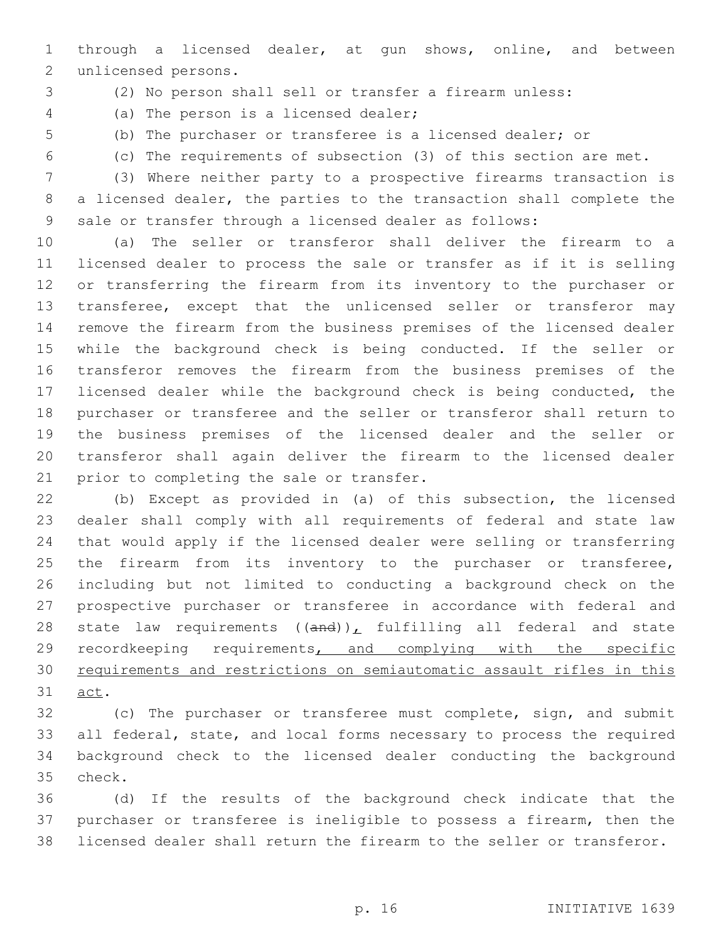through a licensed dealer, at gun shows, online, and between 2 unlicensed persons.

(2) No person shall sell or transfer a firearm unless:

- (a) The person is a licensed dealer;4
	- (b) The purchaser or transferee is a licensed dealer; or
- 

(c) The requirements of subsection (3) of this section are met.

 (3) Where neither party to a prospective firearms transaction is a licensed dealer, the parties to the transaction shall complete the sale or transfer through a licensed dealer as follows:

 (a) The seller or transferor shall deliver the firearm to a licensed dealer to process the sale or transfer as if it is selling or transferring the firearm from its inventory to the purchaser or transferee, except that the unlicensed seller or transferor may remove the firearm from the business premises of the licensed dealer while the background check is being conducted. If the seller or transferor removes the firearm from the business premises of the licensed dealer while the background check is being conducted, the purchaser or transferee and the seller or transferor shall return to the business premises of the licensed dealer and the seller or transferor shall again deliver the firearm to the licensed dealer 21 prior to completing the sale or transfer.

 (b) Except as provided in (a) of this subsection, the licensed dealer shall comply with all requirements of federal and state law that would apply if the licensed dealer were selling or transferring 25 the firearm from its inventory to the purchaser or transferee, including but not limited to conducting a background check on the prospective purchaser or transferee in accordance with federal and 28 state law requirements  $((and))_L$  fulfilling all federal and state 29 recordkeeping requirements, and complying with the specific requirements and restrictions on semiautomatic assault rifles in this 31 act.

 (c) The purchaser or transferee must complete, sign, and submit all federal, state, and local forms necessary to process the required background check to the licensed dealer conducting the background 35 check.

 (d) If the results of the background check indicate that the purchaser or transferee is ineligible to possess a firearm, then the licensed dealer shall return the firearm to the seller or transferor.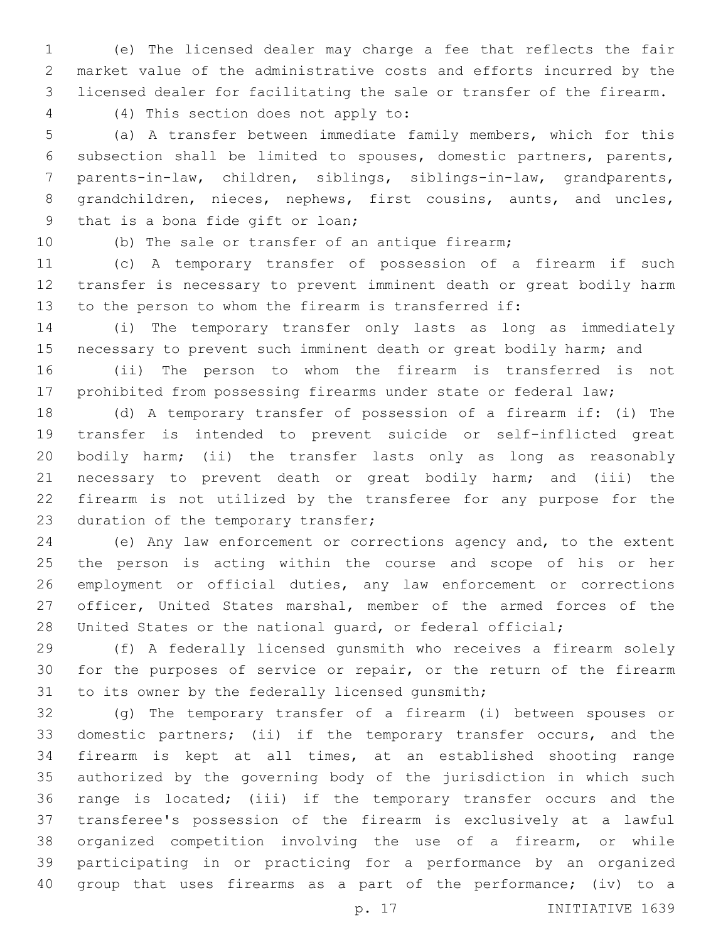(e) The licensed dealer may charge a fee that reflects the fair market value of the administrative costs and efforts incurred by the licensed dealer for facilitating the sale or transfer of the firearm.

(4) This section does not apply to:4

 (a) A transfer between immediate family members, which for this subsection shall be limited to spouses, domestic partners, parents, parents-in-law, children, siblings, siblings-in-law, grandparents, grandchildren, nieces, nephews, first cousins, aunts, and uncles, 9 that is a bona fide gift or loan;

(b) The sale or transfer of an antique firearm;

 (c) A temporary transfer of possession of a firearm if such transfer is necessary to prevent imminent death or great bodily harm to the person to whom the firearm is transferred if:

 (i) The temporary transfer only lasts as long as immediately 15 necessary to prevent such imminent death or great bodily harm; and

 (ii) The person to whom the firearm is transferred is not prohibited from possessing firearms under state or federal law;

 (d) A temporary transfer of possession of a firearm if: (i) The transfer is intended to prevent suicide or self-inflicted great bodily harm; (ii) the transfer lasts only as long as reasonably necessary to prevent death or great bodily harm; and (iii) the firearm is not utilized by the transferee for any purpose for the 23 duration of the temporary transfer;

 (e) Any law enforcement or corrections agency and, to the extent the person is acting within the course and scope of his or her employment or official duties, any law enforcement or corrections officer, United States marshal, member of the armed forces of the 28 United States or the national quard, or federal official;

 (f) A federally licensed gunsmith who receives a firearm solely for the purposes of service or repair, or the return of the firearm 31 to its owner by the federally licensed gunsmith;

 (g) The temporary transfer of a firearm (i) between spouses or domestic partners; (ii) if the temporary transfer occurs, and the firearm is kept at all times, at an established shooting range authorized by the governing body of the jurisdiction in which such range is located; (iii) if the temporary transfer occurs and the transferee's possession of the firearm is exclusively at a lawful organized competition involving the use of a firearm, or while participating in or practicing for a performance by an organized group that uses firearms as a part of the performance; (iv) to a

p. 17 INITIATIVE 1639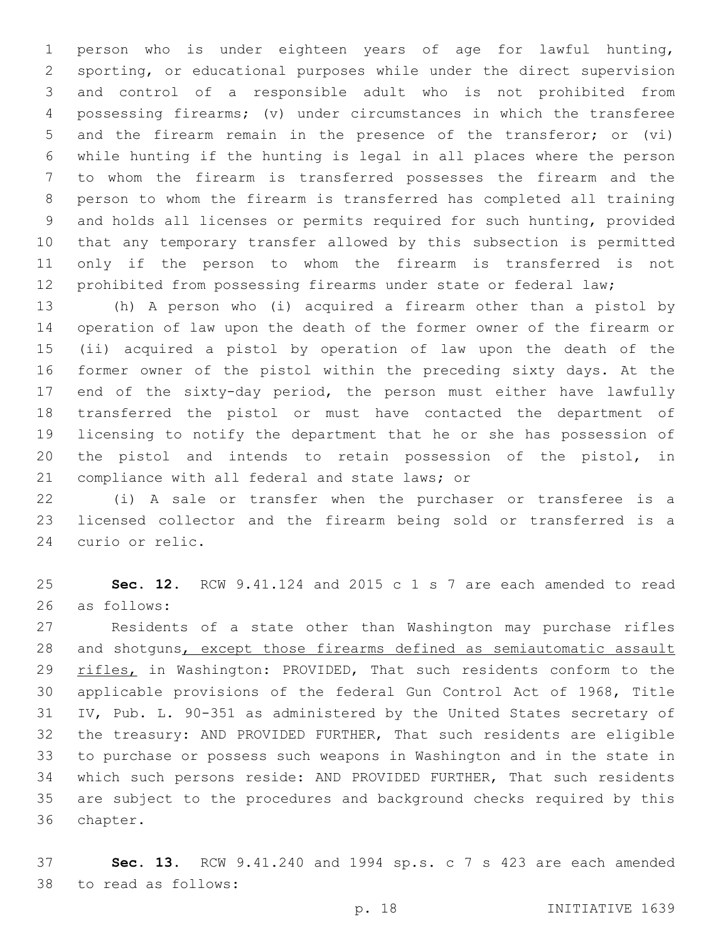person who is under eighteen years of age for lawful hunting, sporting, or educational purposes while under the direct supervision and control of a responsible adult who is not prohibited from possessing firearms; (v) under circumstances in which the transferee and the firearm remain in the presence of the transferor; or (vi) while hunting if the hunting is legal in all places where the person to whom the firearm is transferred possesses the firearm and the person to whom the firearm is transferred has completed all training and holds all licenses or permits required for such hunting, provided that any temporary transfer allowed by this subsection is permitted only if the person to whom the firearm is transferred is not prohibited from possessing firearms under state or federal law;

 (h) A person who (i) acquired a firearm other than a pistol by operation of law upon the death of the former owner of the firearm or (ii) acquired a pistol by operation of law upon the death of the former owner of the pistol within the preceding sixty days. At the end of the sixty-day period, the person must either have lawfully transferred the pistol or must have contacted the department of licensing to notify the department that he or she has possession of the pistol and intends to retain possession of the pistol, in 21 compliance with all federal and state laws; or

 (i) A sale or transfer when the purchaser or transferee is a licensed collector and the firearm being sold or transferred is a 24 curio or relic.

 **Sec. 12.** RCW 9.41.124 and 2015 c 1 s 7 are each amended to read as follows:26

 Residents of a state other than Washington may purchase rifles and shotguns, except those firearms defined as semiautomatic assault 29 rifles, in Washington: PROVIDED, That such residents conform to the applicable provisions of the federal Gun Control Act of 1968, Title IV, Pub. L. 90-351 as administered by the United States secretary of the treasury: AND PROVIDED FURTHER, That such residents are eligible to purchase or possess such weapons in Washington and in the state in which such persons reside: AND PROVIDED FURTHER, That such residents are subject to the procedures and background checks required by this 36 chapter.

 **Sec. 13.** RCW 9.41.240 and 1994 sp.s. c 7 s 423 are each amended to read as follows:38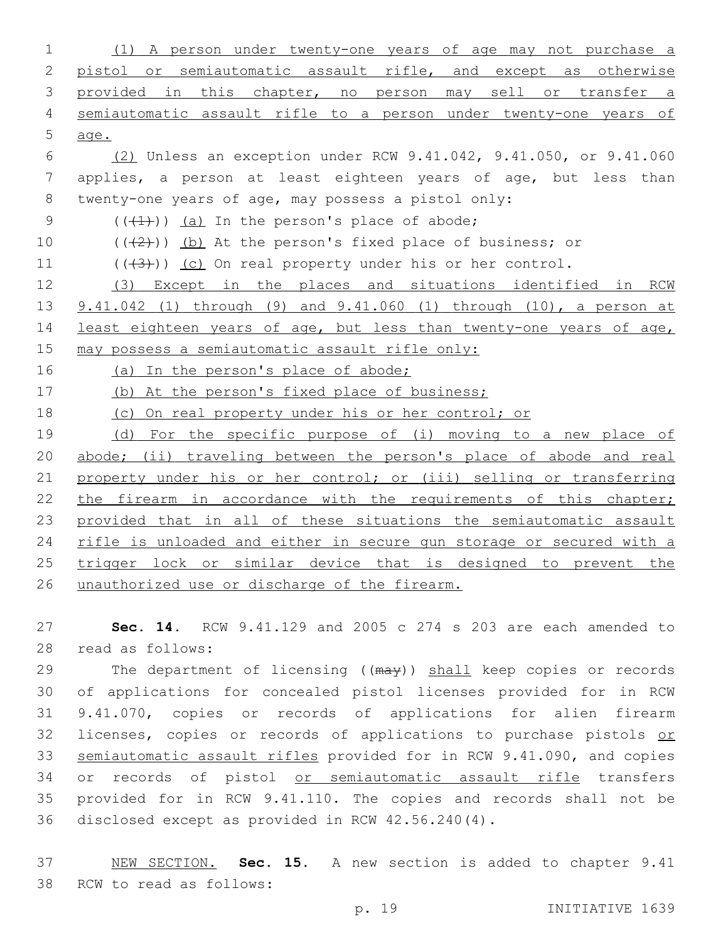(1) A person under twenty-one years of age may not purchase a pistol or semiautomatic assault rifle, and except as otherwise provided in this chapter, no person may sell or transfer a semiautomatic assault rifle to a person under twenty-one years of age. (2) Unless an exception under RCW 9.41.042, 9.41.050, or 9.41.060 applies, a person at least eighteen years of age, but less than twenty-one years of age, may possess a pistol only:  $($   $($   $($   $($   $($   $+$   $+$   $)$   $)$   $($   $a)$  In the person's place of abode;  $((+2+))$  (b) At the person's fixed place of business; or  $((+3+))$  (c) On real property under his or her control. (3) Except in the places and situations identified in RCW 9.41.042 (1) through (9) and 9.41.060 (1) through (10), a person at least eighteen years of age, but less than twenty-one years of age, may possess a semiautomatic assault rifle only: 16 (a) In the person's place of abode; (b) At the person's fixed place of business; (c) On real property under his or her control; or (d) For the specific purpose of (i) moving to a new place of abode; (ii) traveling between the person's place of abode and real property under his or her control; or (iii) selling or transferring 22 the firearm in accordance with the requirements of this chapter; provided that in all of these situations the semiautomatic assault rifle is unloaded and either in secure gun storage or secured with a trigger lock or similar device that is designed to prevent the unauthorized use or discharge of the firearm.

 **Sec. 14.** RCW 9.41.129 and 2005 c 274 s 203 are each amended to read as follows:28

29 The department of licensing ((may)) shall keep copies or records of applications for concealed pistol licenses provided for in RCW 9.41.070, copies or records of applications for alien firearm 32 licenses, copies or records of applications to purchase pistols or semiautomatic assault rifles provided for in RCW 9.41.090, and copies 34 or records of pistol or semiautomatic assault rifle transfers provided for in RCW 9.41.110. The copies and records shall not be 36 disclosed except as provided in RCW 42.56.240(4).

 NEW SECTION. **Sec. 15.** A new section is added to chapter 9.41 38 RCW to read as follows: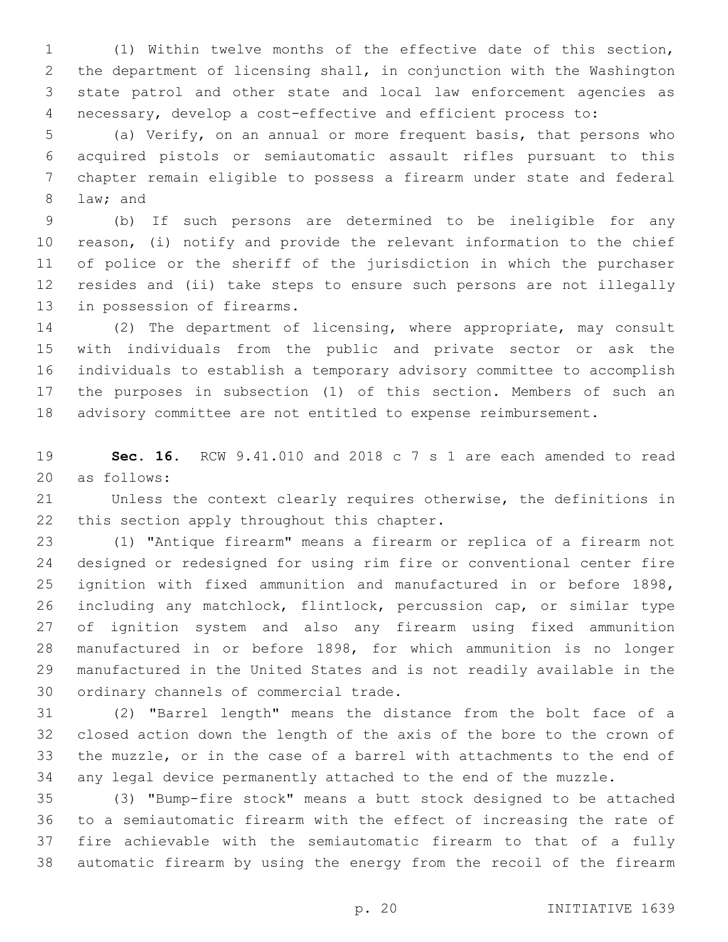(1) Within twelve months of the effective date of this section, the department of licensing shall, in conjunction with the Washington state patrol and other state and local law enforcement agencies as necessary, develop a cost-effective and efficient process to:

 (a) Verify, on an annual or more frequent basis, that persons who acquired pistols or semiautomatic assault rifles pursuant to this chapter remain eligible to possess a firearm under state and federal 8 law; and

 (b) If such persons are determined to be ineligible for any reason, (i) notify and provide the relevant information to the chief of police or the sheriff of the jurisdiction in which the purchaser resides and (ii) take steps to ensure such persons are not illegally 13 in possession of firearms.

 (2) The department of licensing, where appropriate, may consult with individuals from the public and private sector or ask the individuals to establish a temporary advisory committee to accomplish the purposes in subsection (1) of this section. Members of such an advisory committee are not entitled to expense reimbursement.

 **Sec. 16.** RCW 9.41.010 and 2018 c 7 s 1 are each amended to read 20 as follows:

 Unless the context clearly requires otherwise, the definitions in 22 this section apply throughout this chapter.

 (1) "Antique firearm" means a firearm or replica of a firearm not designed or redesigned for using rim fire or conventional center fire ignition with fixed ammunition and manufactured in or before 1898, including any matchlock, flintlock, percussion cap, or similar type of ignition system and also any firearm using fixed ammunition manufactured in or before 1898, for which ammunition is no longer manufactured in the United States and is not readily available in the 30 ordinary channels of commercial trade.

 (2) "Barrel length" means the distance from the bolt face of a closed action down the length of the axis of the bore to the crown of the muzzle, or in the case of a barrel with attachments to the end of any legal device permanently attached to the end of the muzzle.

 (3) "Bump-fire stock" means a butt stock designed to be attached to a semiautomatic firearm with the effect of increasing the rate of fire achievable with the semiautomatic firearm to that of a fully automatic firearm by using the energy from the recoil of the firearm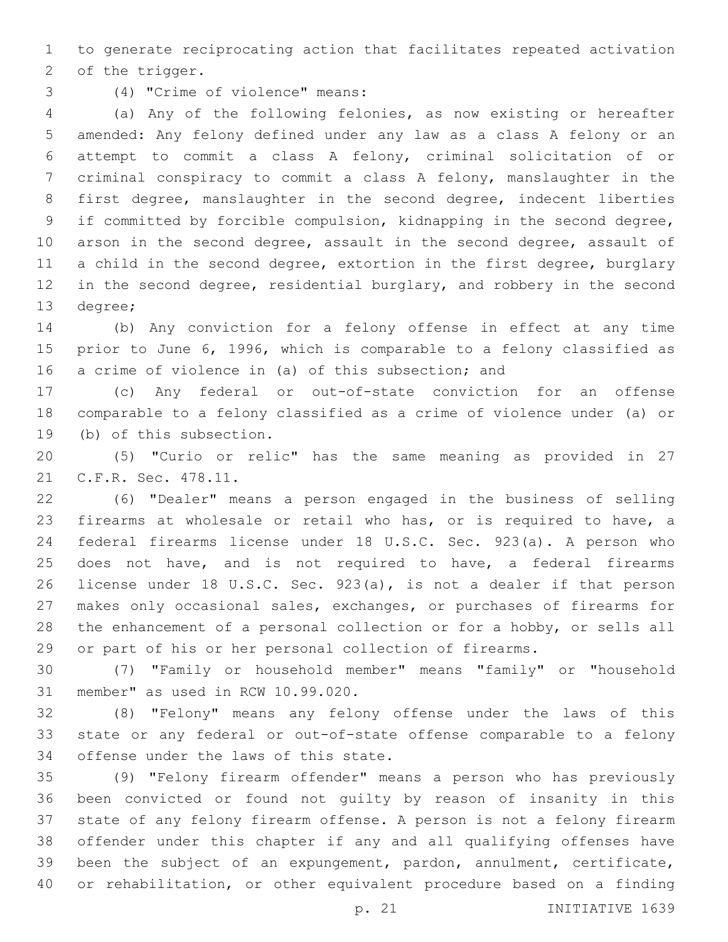to generate reciprocating action that facilitates repeated activation 2 of the trigger.

(4) "Crime of violence" means:3

 (a) Any of the following felonies, as now existing or hereafter amended: Any felony defined under any law as a class A felony or an attempt to commit a class A felony, criminal solicitation of or criminal conspiracy to commit a class A felony, manslaughter in the first degree, manslaughter in the second degree, indecent liberties if committed by forcible compulsion, kidnapping in the second degree, arson in the second degree, assault in the second degree, assault of a child in the second degree, extortion in the first degree, burglary 12 in the second degree, residential burglary, and robbery in the second 13 degree;

 (b) Any conviction for a felony offense in effect at any time prior to June 6, 1996, which is comparable to a felony classified as a crime of violence in (a) of this subsection; and

 (c) Any federal or out-of-state conviction for an offense comparable to a felony classified as a crime of violence under (a) or 19 (b) of this subsection.

 (5) "Curio or relic" has the same meaning as provided in 27 21 C.F.R. Sec. 478.11.

 (6) "Dealer" means a person engaged in the business of selling firearms at wholesale or retail who has, or is required to have, a federal firearms license under 18 U.S.C. Sec. 923(a). A person who does not have, and is not required to have, a federal firearms license under 18 U.S.C. Sec. 923(a), is not a dealer if that person makes only occasional sales, exchanges, or purchases of firearms for the enhancement of a personal collection or for a hobby, or sells all or part of his or her personal collection of firearms.

 (7) "Family or household member" means "family" or "household 31 member" as used in RCW 10.99.020.

 (8) "Felony" means any felony offense under the laws of this state or any federal or out-of-state offense comparable to a felony 34 offense under the laws of this state.

 (9) "Felony firearm offender" means a person who has previously been convicted or found not guilty by reason of insanity in this state of any felony firearm offense. A person is not a felony firearm offender under this chapter if any and all qualifying offenses have been the subject of an expungement, pardon, annulment, certificate, or rehabilitation, or other equivalent procedure based on a finding

p. 21 INITIATIVE 1639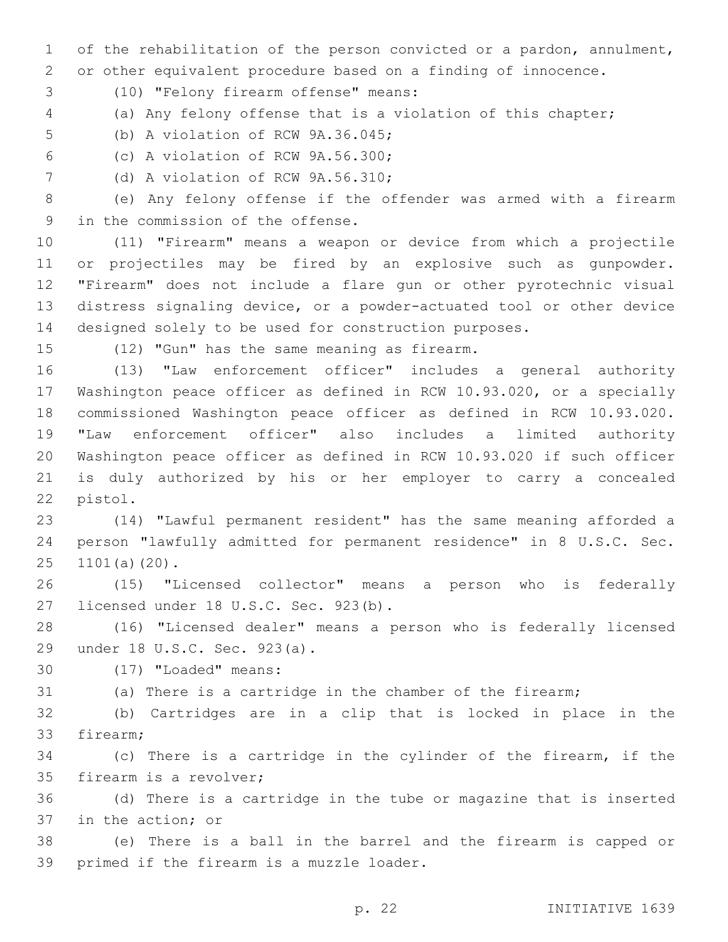1 of the rehabilitation of the person convicted or a pardon, annulment,

2 or other equivalent procedure based on a finding of innocence.

- (10) "Felony firearm offense" means:3
- 4 (a) Any felony offense that is a violation of this chapter;

5 (b) A violation of RCW 9A.36.045;

6 (c) A violation of RCW 9A.56.300;

7 (d) A violation of RCW 9A.56.310;

8 (e) Any felony offense if the offender was armed with a firearm 9 in the commission of the offense.

 (11) "Firearm" means a weapon or device from which a projectile or projectiles may be fired by an explosive such as gunpowder. "Firearm" does not include a flare gun or other pyrotechnic visual distress signaling device, or a powder-actuated tool or other device designed solely to be used for construction purposes.

15 (12) "Gun" has the same meaning as firearm.

 (13) "Law enforcement officer" includes a general authority Washington peace officer as defined in RCW 10.93.020, or a specially commissioned Washington peace officer as defined in RCW 10.93.020. "Law enforcement officer" also includes a limited authority Washington peace officer as defined in RCW 10.93.020 if such officer is duly authorized by his or her employer to carry a concealed 22 pistol.

23 (14) "Lawful permanent resident" has the same meaning afforded a 24 person "lawfully admitted for permanent residence" in 8 U.S.C. Sec. 25 1101(a)(20).

26 (15) "Licensed collector" means a person who is federally 27 licensed under 18 U.S.C. Sec. 923(b).

28 (16) "Licensed dealer" means a person who is federally licensed 29 under 18 U.S.C. Sec. 923(a).

(17) "Loaded" means:30

31 (a) There is a cartridge in the chamber of the firearm;

32 (b) Cartridges are in a clip that is locked in place in the 33 firearm:

34 (c) There is a cartridge in the cylinder of the firearm, if the 35 firearm is a revolver;

36 (d) There is a cartridge in the tube or magazine that is inserted 37 in the action; or

38 (e) There is a ball in the barrel and the firearm is capped or 39 primed if the firearm is a muzzle loader.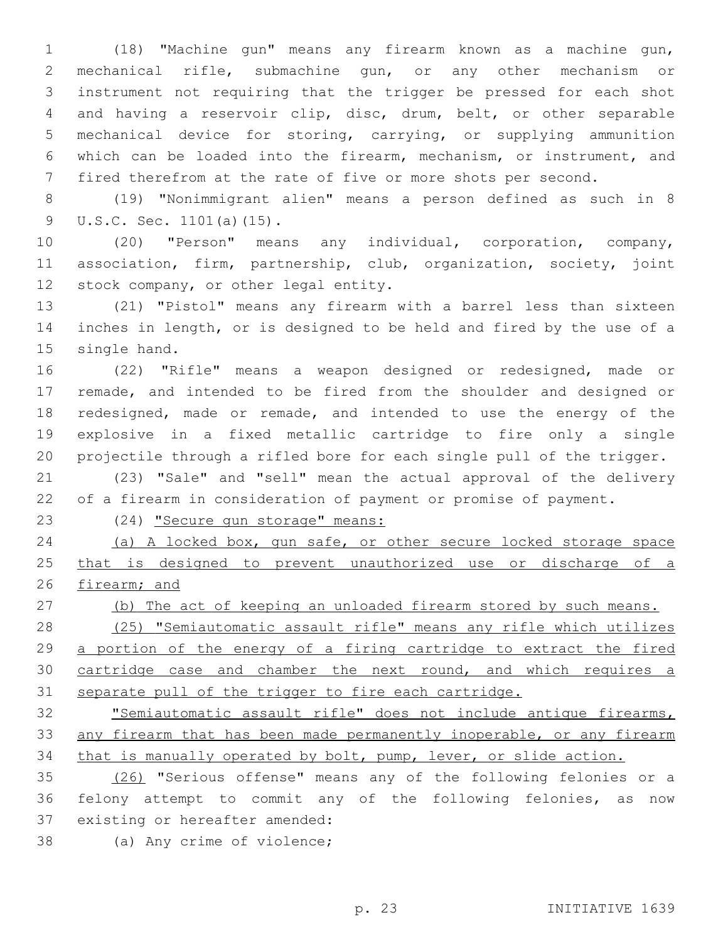(18) "Machine gun" means any firearm known as a machine gun, mechanical rifle, submachine gun, or any other mechanism or instrument not requiring that the trigger be pressed for each shot and having a reservoir clip, disc, drum, belt, or other separable mechanical device for storing, carrying, or supplying ammunition which can be loaded into the firearm, mechanism, or instrument, and fired therefrom at the rate of five or more shots per second.

 (19) "Nonimmigrant alien" means a person defined as such in 8 9 U.S.C. Sec. 1101(a)(15).

 (20) "Person" means any individual, corporation, company, association, firm, partnership, club, organization, society, joint 12 stock company, or other legal entity.

 (21) "Pistol" means any firearm with a barrel less than sixteen inches in length, or is designed to be held and fired by the use of a 15 single hand.

 (22) "Rifle" means a weapon designed or redesigned, made or remade, and intended to be fired from the shoulder and designed or redesigned, made or remade, and intended to use the energy of the explosive in a fixed metallic cartridge to fire only a single projectile through a rifled bore for each single pull of the trigger.

 (23) "Sale" and "sell" mean the actual approval of the delivery of a firearm in consideration of payment or promise of payment.

(24) "Secure gun storage" means:

 (a) A locked box, gun safe, or other secure locked storage space 25 that is designed to prevent unauthorized use or discharge of a firearm; and

27 (b) The act of keeping an unloaded firearm stored by such means.

 (25) "Semiautomatic assault rifle" means any rifle which utilizes 29 a portion of the energy of a firing cartridge to extract the fired 30 cartridge case and chamber the next round, and which requires a separate pull of the trigger to fire each cartridge.

 "Semiautomatic assault rifle" does not include antique firearms, 33 any firearm that has been made permanently inoperable, or any firearm that is manually operated by bolt, pump, lever, or slide action.

 (26) "Serious offense" means any of the following felonies or a felony attempt to commit any of the following felonies, as now 37 existing or hereafter amended:

38 (a) Any crime of violence;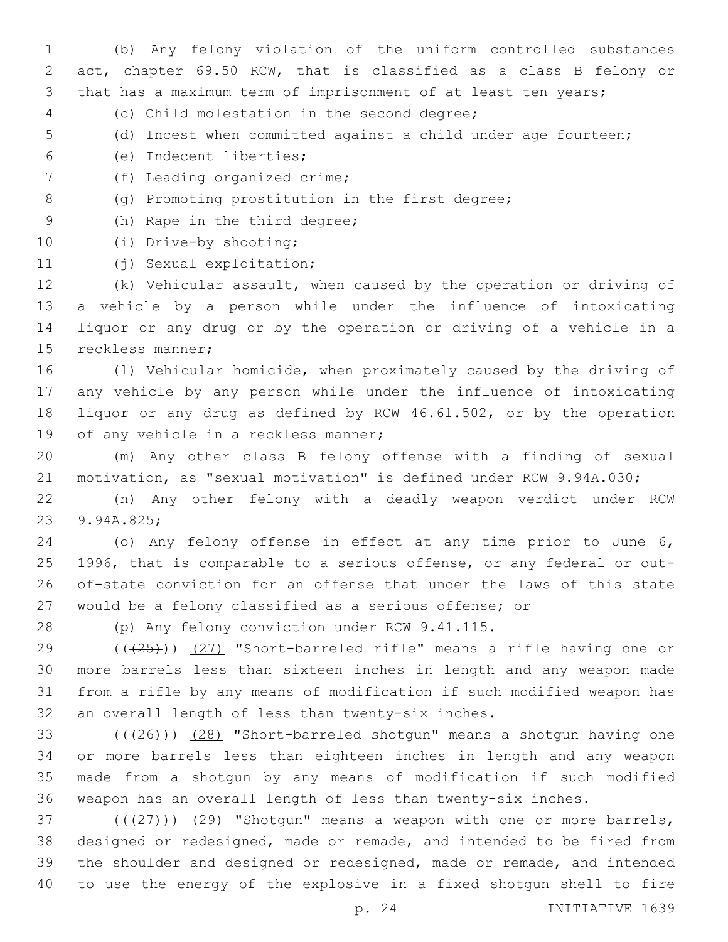(b) Any felony violation of the uniform controlled substances act, chapter 69.50 RCW, that is classified as a class B felony or that has a maximum term of imprisonment of at least ten years;

- (c) Child molestation in the second degree;4
- (d) Incest when committed against a child under age fourteen;
- (e) Indecent liberties;6
- 7 (f) Leading organized crime;
- 8 (g) Promoting prostitution in the first degree;
- 9 (h) Rape in the third degree;
- 10 (i) Drive-by shooting;
- 11 (j) Sexual exploitation;

 (k) Vehicular assault, when caused by the operation or driving of a vehicle by a person while under the influence of intoxicating liquor or any drug or by the operation or driving of a vehicle in a 15 reckless manner;

 (l) Vehicular homicide, when proximately caused by the driving of any vehicle by any person while under the influence of intoxicating liquor or any drug as defined by RCW 46.61.502, or by the operation 19 of any vehicle in a reckless manner;

 (m) Any other class B felony offense with a finding of sexual motivation, as "sexual motivation" is defined under RCW 9.94A.030;

 (n) Any other felony with a deadly weapon verdict under RCW 23 9.94A.825;

 (o) Any felony offense in effect at any time prior to June 6, 1996, that is comparable to a serious offense, or any federal or out- of-state conviction for an offense that under the laws of this state would be a felony classified as a serious offense; or

28 (p) Any felony conviction under RCW 9.41.115.

 $((+25+))$  (27) "Short-barreled rifle" means a rifle having one or more barrels less than sixteen inches in length and any weapon made from a rifle by any means of modification if such modified weapon has 32 an overall length of less than twenty-six inches.

 $((+26))$   $(28)$  "Short-barreled shotgun" means a shotgun having one or more barrels less than eighteen inches in length and any weapon made from a shotgun by any means of modification if such modified weapon has an overall length of less than twenty-six inches.

 $((27))$   $(29)$  "Shotgun" means a weapon with one or more barrels, designed or redesigned, made or remade, and intended to be fired from the shoulder and designed or redesigned, made or remade, and intended to use the energy of the explosive in a fixed shotgun shell to fire